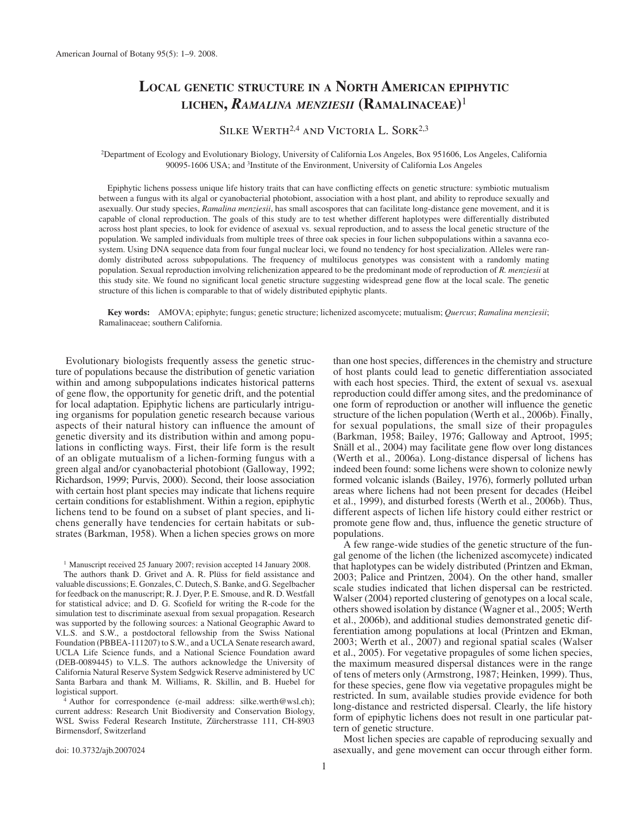# **LOCAL GENETIC STRUCTURE IN A NORTH AMERICAN EPIPHYTIC LICHEN,** *RAMALINA MENZIESII* **(RAMALINACEAE)** <sup>1</sup>

# SILKE WERTH<sup>2,4</sup> AND VICTORIA L. SORK<sup>2,3</sup>

2 Department of Ecology and Evolutionary Biology, University of California Los Angeles, Box 951606, Los Angeles, California 90095-1606 USA; and <sup>3</sup>Institute of the Environment, University of California Los Angeles

Epiphytic lichens possess unique life history traits that can have conflicting effects on genetic structure: symbiotic mutualism between a fungus with its algal or cyanobacterial photobiont, association with a host plant, and ability to reproduce sexually and asexually. Our study species, *Ramalina menziesii* , has small ascospores that can facilitate long-distance gene movement, and it is capable of clonal reproduction. The goals of this study are to test whether different haplotypes were differentially distributed across host plant species, to look for evidence of asexual vs. sexual reproduction, and to assess the local genetic structure of the population. We sampled individuals from multiple trees of three oak species in four lichen subpopulations within a savanna ecosystem. Using DNA sequence data from four fungal nuclear loci, we found no tendency for host specialization. Alleles were randomly distributed across subpopulations. The frequency of multilocus genotypes was consistent with a randomly mating population. Sexual reproduction involving relichenization appeared to be the predominant mode of reproduction of *R. menziesii* at this study site. We found no significant local genetic structure suggesting widespread gene flow at the local scale. The genetic structure of this lichen is comparable to that of widely distributed epiphytic plants.

**Key words:** AMOVA; epiphyte; fungus; genetic structure; lichenized ascomycete; mutualism; *Quercus*; *Ramalina menziesii*; Ramalinaceae; southern California.

 Evolutionary biologists frequently assess the genetic structure of populations because the distribution of genetic variation within and among subpopulations indicates historical patterns of gene flow, the opportunity for genetic drift, and the potential for local adaptation. Epiphytic lichens are particularly intriguing organisms for population genetic research because various aspects of their natural history can influence the amount of genetic diversity and its distribution within and among populations in conflicting ways. First, their life form is the result of an obligate mutualism of a lichen-forming fungus with a green algal and/or cyanobacterial photobiont (Galloway, 1992; Richardson, 1999; Purvis, 2000). Second, their loose association with certain host plant species may indicate that lichens require certain conditions for establishment. Within a region, epiphytic lichens tend to be found on a subset of plant species, and lichens generally have tendencies for certain habitats or substrates (Barkman, 1958). When a lichen species grows on more

<sup>1</sup> Manuscript received 25 January 2007; revision accepted 14 January 2008.

The authors thank D. Grivet and A. R. Plüss for field assistance and valuable discussions; E. Gonzales, C. Dutech, S. Banke, and G. Segelbacher for feedback on the manuscript; R. J. Dyer, P. E. Smouse, and R. D. Westfall for statistical advice; and D. G. Scofield for writing the R-code for the simulation test to discriminate asexual from sexual propagation. Research was supported by the following sources: a National Geographic Award to V.L.S. and S.W., a postdoctoral fellowship from the Swiss National Foundation (PBBEA-111207) to S.W., and a UCLA Senate research award, UCLA Life Science funds, and a National Science Foundation award (DEB-0089445) to V.L.S. The authors acknowledge the University of California Natural Reserve System Sedgwick Reserve administered by UC Santa Barbara and thank M. Williams, R. Skillin, and B. Huebel for logistical support. 4 Author for correspondence (e-mail address: silke.werth@wsl.ch);

current address: Research Unit Biodiversity and Conservation Biology, WSL Swiss Federal Research Institute, Zürcherstrasse 111, CH-8903 Birmensdorf, Switzerland

of host plants could lead to genetic differentiation associated with each host species. Third, the extent of sexual vs. asexual reproduction could differ among sites, and the predominance of one form of reproduction or another will influence the genetic structure of the lichen population (Werth et al., 2006b). Finally, for sexual populations, the small size of their propagules (Barkman, 1958; Bailey, 1976; Galloway and Aptroot, 1995; Snäll et al., 2004) may facilitate gene flow over long distances (Werth et al., 2006a). Long-distance dispersal of lichens has indeed been found: some lichens were shown to colonize newly formed volcanic islands (Bailey, 1976), formerly polluted urban areas where lichens had not been present for decades ( Heibel et al., 1999), and disturbed forests (Werth et al., 2006b). Thus, different aspects of lichen life history could either restrict or promote gene flow and, thus, influence the genetic structure of populations.

than one host species, differences in the chemistry and structure

 A few range-wide studies of the genetic structure of the fungal genome of the lichen (the lichenized ascomycete) indicated that haplotypes can be widely distributed (Printzen and Ekman, 2003; Palice and Printzen, 2004). On the other hand, smaller scale studies indicated that lichen dispersal can be restricted. Walser (2004) reported clustering of genotypes on a local scale, others showed isolation by distance (Wagner et al., 2005; Werth et al., 2006b), and additional studies demonstrated genetic differentiation among populations at local (Printzen and Ekman, 2003; Werth et al., 2007) and regional spatial scales (Walser et al., 2005). For vegetative propagules of some lichen species, the maximum measured dispersal distances were in the range of tens of meters only (Armstrong, 1987; Heinken, 1999). Thus, for these species, gene flow via vegetative propagules might be restricted. In sum, available studies provide evidence for both long-distance and restricted dispersal. Clearly, the life history form of epiphytic lichens does not result in one particular pattern of genetic structure.

 Most lichen species are capable of reproducing sexually and asexually, and gene movement can occur through either form.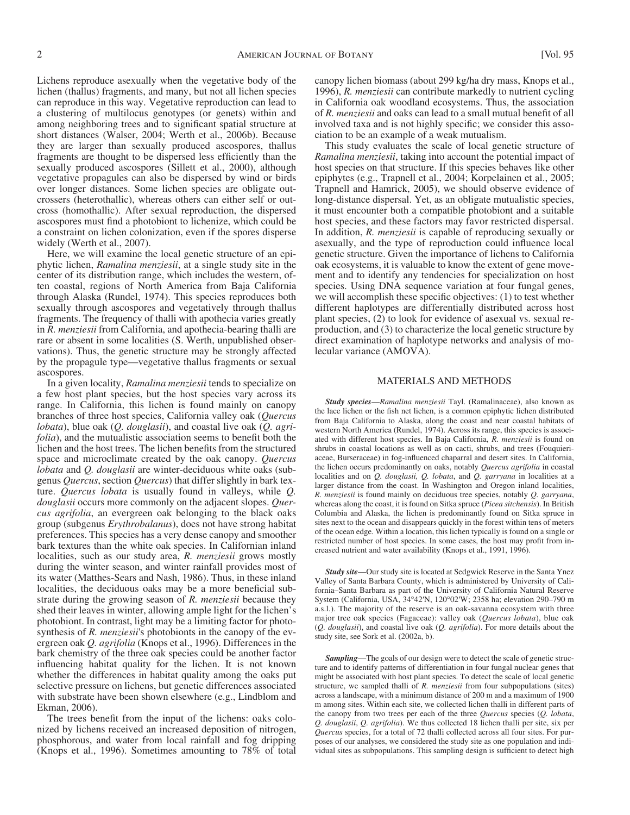Lichens reproduce asexually when the vegetative body of the lichen (thallus) fragments, and many, but not all lichen species can reproduce in this way. Vegetative reproduction can lead to a clustering of multilocus genotypes (or genets) within and among neighboring trees and to significant spatial structure at short distances (Walser, 2004; Werth et al., 2006b). Because they are larger than sexually produced ascospores, thallus fragments are thought to be dispersed less efficiently than the sexually produced ascospores (Sillett et al., 2000), although vegetative propagules can also be dispersed by wind or birds over longer distances. Some lichen species are obligate outcrossers (heterothallic), whereas others can either self or outcross (homothallic). After sexual reproduction, the dispersed ascospores must find a photobiont to lichenize, which could be a constraint on lichen colonization, even if the spores disperse widely (Werth et al., 2007).

 Here, we will examine the local genetic structure of an epiphytic lichen, *Ramalina menziesii* , at a single study site in the center of its distribution range, which includes the western, often coastal, regions of North America from Baja California through Alaska (Rundel, 1974). This species reproduces both sexually through ascospores and vegetatively through thallus fragments. The frequency of thalli with apothecia varies greatly in *R. menziesii* from California, and apothecia-bearing thalli are rare or absent in some localities (S. Werth, unpublished observations). Thus, the genetic structure may be strongly affected by the propagule type—vegetative thallus fragments or sexual ascospores.

 In a given locality, *Ramalina menziesii* tends to specialize on a few host plant species, but the host species vary across its range. In California, this lichen is found mainly on canopy branches of three host species, California valley oak ( *Quercus lobata*), blue oak (*Q. douglasii*), and coastal live oak (*Q. agrifolia*), and the mutualistic association seems to benefit both the lichen and the host trees. The lichen benefits from the structured space and microclimate created by the oak canopy. *Quercus lobata* and *Q. douglasii* are winter-deciduous white oaks (subgenus *Quercus* , section *Quercus* ) that differ slightly in bark texture. *Quercus lobata* is usually found in valleys, while *Q. douglasii* occurs more commonly on the adjacent slopes. *Quercus agrifolia* , an evergreen oak belonging to the black oaks group (subgenus *Erythrobalanus* ), does not have strong habitat preferences. This species has a very dense canopy and smoother bark textures than the white oak species. In Californian inland localities, such as our study area, *R. menziesii* grows mostly during the winter season, and winter rainfall provides most of its water (Matthes-Sears and Nash, 1986). Thus, in these inland localities, the deciduous oaks may be a more beneficial substrate during the growing season of *R. menziesii* because they shed their leaves in winter, allowing ample light for the lichen's photobiont. In contrast, light may be a limiting factor for photosynthesis of *R. menziesii*'s photobionts in the canopy of the evergreen oak *Q. agrifolia* (Knops et al., 1996). Differences in the bark chemistry of the three oak species could be another factor influencing habitat quality for the lichen. It is not known whether the differences in habitat quality among the oaks put selective pressure on lichens, but genetic differences associated with substrate have been shown elsewhere (e.g., Lindblom and Ekman, 2006).

The trees benefit from the input of the lichens: oaks colonized by lichens received an increased deposition of nitrogen, phosphorous, and water from local rainfall and fog dripping (Knops et al., 1996). Sometimes amounting to  $78\%$  of total

canopy lichen biomass (about 299 kg/ha dry mass, Knops et al., 1996 ), *R. menziesii* can contribute markedly to nutrient cycling in California oak woodland ecosystems. Thus, the association of *R. menziesii* and oaks can lead to a small mutual benefi t of all involved taxa and is not highly specific; we consider this association to be an example of a weak mutualism.

 This study evaluates the scale of local genetic structure of *Ramalina menziesii* , taking into account the potential impact of host species on that structure. If this species behaves like other epiphytes (e.g., Trapnell et al., 2004; Korpelainen et al., 2005; Trapnell and Hamrick, 2005), we should observe evidence of long-distance dispersal. Yet, as an obligate mutualistic species, it must encounter both a compatible photobiont and a suitable host species, and these factors may favor restricted dispersal. In addition, *R. menziesii* is capable of reproducing sexually or asexually, and the type of reproduction could influence local genetic structure. Given the importance of lichens to California oak ecosystems, it is valuable to know the extent of gene movement and to identify any tendencies for specialization on host species. Using DNA sequence variation at four fungal genes, we will accomplish these specific objectives: (1) to test whether different haplotypes are differentially distributed across host plant species, (2) to look for evidence of asexual vs. sexual reproduction, and (3) to characterize the local genetic structure by direct examination of haplotype networks and analysis of molecular variance (AMOVA).

## MATERIALS AND METHODS

*Study species* —*Ramalina menziesii* Tayl. (Ramalinaceae), also known as the lace lichen or the fish net lichen, is a common epiphytic lichen distributed from Baja California to Alaska, along the coast and near coastal habitats of western North America (Rundel, 1974). Across its range, this species is associated with different host species. In Baja California, *R. menziesii* is found on shrubs in coastal locations as well as on cacti, shrubs, and trees (Fouquieriaceae, Burseraceae) in fog-influenced chaparral and desert sites. In California, the lichen occurs predominantly on oaks, notably *Quercus agrifolia* in coastal localities and on *Q. douglasii*, *Q. lobata*, and *Q. garryana* in localities at a larger distance from the coast. In Washington and Oregon inland localities, *R. menziesii* is found mainly on deciduous tree species, notably *Q. garryana* , whereas along the coast, it is found on Sitka spruce ( *Picea sitchensis* ). In British Columbia and Alaska, the lichen is predominantly found on Sitka spruce in sites next to the ocean and disappears quickly in the forest within tens of meters of the ocean edge. Within a location, this lichen typically is found on a single or restricted number of host species. In some cases, the host may profit from increased nutrient and water availability (Knops et al., 1991, 1996).

**Study site-Our study site is located at Sedgwick Reserve in the Santa Ynez** Valley of Santa Barbara County, which is administered by University of California – Santa Barbara as part of the University of California Natural Reserve System (California, USA, 34°42'N, 120°02'W; 2358 ha; elevation 290-790 m a.s.l.). The majority of the reserve is an oak-savanna ecosystem with three major tree oak species (Fagaceae): valley oak ( *Quercus lobata* ), blue oak ( *Q. douglasii* ), and coastal live oak ( *Q. agrifolia* ). For more details about the study site, see Sork et al. (2002a, b).

**Sampling**—The goals of our design were to detect the scale of genetic structure and to identify patterns of differentiation in four fungal nuclear genes that might be associated with host plant species. To detect the scale of local genetic structure, we sampled thalli of *R. menziesii* from four subpopulations (sites) across a landscape, with a minimum distance of 200 m and a maximum of 1900 m among sites. Within each site, we collected lichen thalli in different parts of the canopy from two trees per each of the three *Quercus* species (*Q. lobata*, *Q. douglasii* , *Q. agrifolia* ). We thus collected 18 lichen thalli per site, six per *Quercus* species, for a total of 72 thalli collected across all four sites. For purposes of our analyses, we considered the study site as one population and individual sites as subpopulations. This sampling design is sufficient to detect high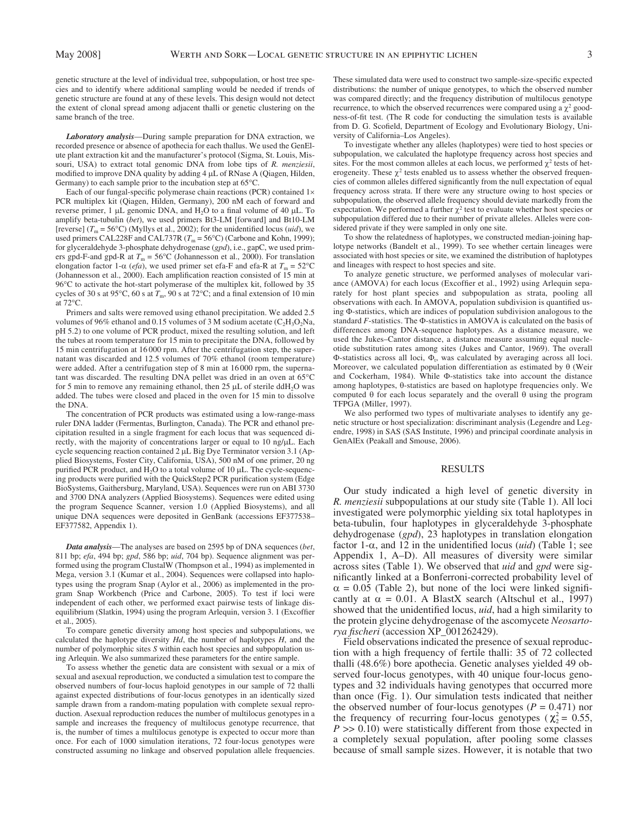genetic structure at the level of individual tree, subpopulation, or host tree species and to identify where additional sampling would be needed if trends of genetic structure are found at any of these levels. This design would not detect the extent of clonal spread among adjacent thalli or genetic clustering on the same branch of the tree.

*Laboratory analysis* — During sample preparation for DNA extraction, we recorded presence or absence of apothecia for each thallus. We used the GenElute plant extraction kit and the manufacturer's protocol (Sigma, St. Louis, Missouri, USA) to extract total genomic DNA from lobe tips of *R. menziesii*, modified to improve DNA quality by adding  $4 \mu L$  of RNase A (Qiagen, Hilden, Germany) to each sample prior to the incubation step at  $65^{\circ}$ C.

Each of our fungal-specific polymerase chain reactions (PCR) contained  $1 \times$ PCR multiplex kit (Qiagen, Hilden, Germany), 200 nM each of forward and reverse primer, 1  $\mu$ L genomic DNA, and H<sub>2</sub>O to a final volume of 40  $\mu$ L. To amplify beta-tubulin (*bet*), we used primers Bt3-LM [forward] and Bt10-LM [reverse]  $(T_m = 56^{\circ}\text{C})$  (Myllys et al., 2002); for the unidentified locus (*uid*), we used primers CAL228F and CAL737R ( $T_m = 56$ °C) (Carbone and Kohn, 1999); for glyceraldehyde 3-phosphate dehydrogenase (*gpd*), i.e., gapC, we used primers gpd-F-and gpd-R at  $T_m = 56^{\circ}$ C (Johannesson et al., 2000). For translation elongation factor 1- $\alpha$  (*efa*), we used primer set efa-F and efa-R at  $T_m = 52^{\circ}C$ (Johannesson et al., 2000). Each amplification reaction consisted of 15 min at  $96^{\circ}$ C to activate the hot-start polymerase of the multiplex kit, followed by 35 cycles of 30 s at 95 $\degree$ C, 60 s at  $T_m$ , 90 s at 72 $\degree$ C; and a final extension of 10 min at  $72^{\circ}$ C.

 Primers and salts were removed using ethanol precipitation. We added 2.5 volumes of 96% ethanol and 0.15 volumes of 3 M sodium acetate ( $C_2H_3O_2Na$ , pH 5.2) to one volume of PCR product, mixed the resulting solution, and left the tubes at room temperature for 15 min to precipitate the DNA, followed by 15 min centrifugation at 16 000 rpm. After the centrifugation step, the supernatant was discarded and 12.5 volumes of 70% ethanol (room temperature) were added. After a centrifugation step of 8 min at 16 000 rpm, the supernatant was discarded. The resulting DNA pellet was dried in an oven at  $65^{\circ}$ C for 5 min to remove any remaining ethanol, then 25  $\mu$ L of sterile ddH<sub>2</sub>O was added. The tubes were closed and placed in the oven for 15 min to dissolve the DNA.

 The concentration of PCR products was estimated using a low-range-mass ruler DNA ladder (Fermentas, Burlington, Canada). The PCR and ethanol precipitation resulted in a single fragment for each locus that was sequenced directly, with the majority of concentrations larger or equal to  $10 \text{ ng}/\mu\text{L}$ . Each cycle sequencing reaction contained 2  $\mu$ L Big Dye Terminator version 3.1 (Applied Biosystems, Foster City, California, USA), 500 nM of one primer, 20 ng purified PCR product, and  $H_2O$  to a total volume of 10  $\mu$ L. The cycle-sequencing products were purified with the QuickStep2 PCR purification system (Edge BioSystems, Gaithersburg, Maryland, USA). Sequences were run on ABI 3730 and 3700 DNA analyzers (Applied Biosystems). Sequences were edited using the program Sequence Scanner, version 1.0 (Applied Biosystems), and all unique DNA sequences were deposited in GenBank (accessions EF377538-EF377582, Appendix 1).

*Data analysis*—The analyses are based on 2595 bp of DNA sequences (*bet*, 811 bp; *efa* , 494 bp; *gpd* , 586 bp; *uid* , 704 bp). Sequence alignment was performed using the program ClustalW (Thompson et al., 1994) as implemented in Mega, version 3.1 (Kumar et al., 2004). Sequences were collapsed into haplotypes using the program Snap (Aylor et al., 2006) as implemented in the program Snap Workbench (Price and Carbone, 2005). To test if loci were independent of each other, we performed exact pairwise tests of linkage disequilibrium (Slatkin, 1994) using the program Arlequin, version 3. 1 (Excoffier et al., 2005 ).

 To compare genetic diversity among host species and subpopulations, we calculated the haplotype diversity  $Hd$ , the number of haplotypes  $H$ , and the number of polymorphic sites *S* within each host species and subpopulation using Arlequin. We also summarized these parameters for the entire sample.

 To assess whether the genetic data are consistent with sexual or a mix of sexual and asexual reproduction, we conducted a simulation test to compare the observed numbers of four-locus haploid genotypes in our sample of 72 thalli against expected distributions of four-locus genotypes in an identically sized sample drawn from a random-mating population with complete sexual reproduction. Asexual reproduction reduces the number of multilocus genotypes in a sample and increases the frequency of multilocus genotype recurrence, that is, the number of times a multilocus genotype is expected to occur more than once. For each of 1000 simulation iterations, 72 four-locus genotypes were constructed assuming no linkage and observed population allele frequencies.

These simulated data were used to construct two sample-size-specific expected distributions: the number of unique genotypes, to which the observed number was compared directly; and the frequency distribution of multilocus genotype recurrence, to which the observed recurrences were compared using a  $\chi^2$  goodness-of-fi t test. (The R code for conducting the simulation tests is available from D. G. Scofield, Department of Ecology and Evolutionary Biology, University of California-Los Angeles).

 To investigate whether any alleles (haplotypes) were tied to host species or subpopulation, we calculated the haplotype frequency across host species and sites. For the most common alleles at each locus, we performed  $\chi^2$  tests of heterogeneity. These  $\chi^2$  tests enabled us to assess whether the observed frequencies of common alleles differed significantly from the null expectation of equal frequency across strata. If there were any structure owing to host species or subpopulation, the observed allele frequency should deviate markedly from the expectation. We performed a further  $\chi^2$  test to evaluate whether host species or subpopulation differed due to their number of private alleles. Alleles were considered private if they were sampled in only one site.

 To show the relatedness of haplotypes, we constructed median-joining haplotype networks (Bandelt et al., 1999). To see whether certain lineages were associated with host species or site, we examined the distribution of haplotypes and lineages with respect to host species and site.

 To analyze genetic structure, we performed analyses of molecular variance (AMOVA) for each locus (Excoffier et al., 1992) using Arlequin separately for host plant species and subpopulation as strata, pooling all observations with each. In AMOVA, population subdivision is quantified using  $\Phi$ -statistics, which are indices of population subdivision analogous to the standard *F*-statistics. The  $\Phi$ -statistics in AMOVA is calculated on the basis of differences among DNA-sequence haplotypes. As a distance measure, we used the Jukes-Cantor distance, a distance measure assuming equal nucleotide substitution rates among sites (Jukes and Cantor, 1969). The overall  $\Phi$ -statistics across all loci,  $\Phi_t$ , was calculated by averaging across all loci. Moreover, we calculated population differentiation as estimated by  $\theta$  (Weir and Cockerham, 1984). While  $\Phi$ -statistics take into account the distance among haplotypes,  $\theta$ -statistics are based on haplotype frequencies only. We computed  $\theta$  for each locus separately and the overall  $\theta$  using the program TFPGA (Miller, 1997).

 We also performed two types of multivariate analyses to identify any genetic structure or host specialization: discriminant analysis (Legendre and Legendre, 1998) in SAS (SAS Institute, 1996) and principal coordinate analysis in GenAlEx (Peakall and Smouse, 2006).

#### RESULTS

 Our study indicated a high level of genetic diversity in *R. menziesii* subpopulations at our study site (Table 1). All loci investigated were polymorphic yielding six total haplotypes in beta-tubulin, four haplotypes in glyceraldehyde 3-phosphate dehydrogenase (*gpd*), 23 haplotypes in translation elongation factor 1- $\alpha$ , and 12 in the unidentified locus (*uid*) (Table 1; see Appendix 1, A-D). All measures of diversity were similar across sites (Table 1). We observed that *uid* and *gpd* were significantly linked at a Bonferroni-corrected probability level of  $\alpha = 0.05$  (Table 2), but none of the loci were linked significantly at  $\alpha = 0.01$ . A BlastX search (Altschul et al., 1997) showed that the unidentified locus, *uid*, had a high similarity to the protein glycine dehydrogenase of the ascomycete *Neosartorya fischeri* (accession XP\_001262429).

 Field observations indicated the presence of sexual reproduction with a high frequency of fertile thalli: 35 of 72 collected thalli (48.6%) bore apothecia. Genetic analyses yielded 49 observed four-locus genotypes, with 40 unique four-locus genotypes and 32 individuals having genotypes that occurred more than once (Fig. 1). Our simulation tests indicated that neither the observed number of four-locus genotypes ( $P = 0.471$ ) nor the frequency of recurring four-locus genotypes ( $\chi^2$  = 0.55,  $P \gg 0.10$ ) were statistically different from those expected in a completely sexual population, after pooling some classes because of small sample sizes. However, it is notable that two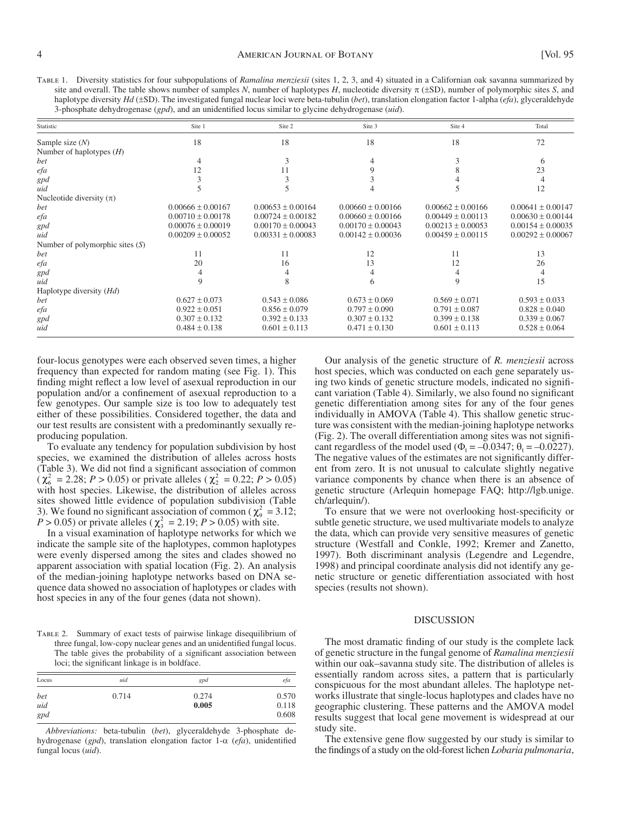Table 1. Diversity statistics for four subpopulations of *Ramalina menziesii* (sites 1, 2, 3, and 4) situated in a Californian oak savanna summarized by site and overall. The table shows number of samples  $N$ , number of haplotypes  $H$ , nucleotide diversity  $\pi$  ( $\pm$ SD), number of polymorphic sites  $S$ , and haplotype diversity  $Hd$  ( $\pm$ SD). The investigated fungal nuclear loci were beta-tubulin (*bet*), translation elongation factor 1-alpha (*efa*), glyceraldehyde 3-phosphate dehydrogenase (*gpd*), and an unidentified locus similar to glycine dehydrogenase (*uid*).

| Statistic                         | Site 1                | Site 2                | Site 3                | Site 4                | Total                 |
|-----------------------------------|-----------------------|-----------------------|-----------------------|-----------------------|-----------------------|
| Sample size $(N)$                 | 18                    | 18                    | 18                    | 18                    | 72                    |
| Number of haplotypes $(H)$        |                       |                       |                       |                       |                       |
| bet                               | 4                     | 3                     |                       |                       | 6                     |
| efa                               | 12                    | 11                    | 9                     |                       | 23                    |
| gpd                               |                       |                       |                       |                       |                       |
| uid                               |                       |                       |                       |                       | 12                    |
| Nucleotide diversity $(\pi)$      |                       |                       |                       |                       |                       |
| bet                               | $0.00666 \pm 0.00167$ | $0.00653 \pm 0.00164$ | $0.00660 \pm 0.00166$ | $0.00662 \pm 0.00166$ | $0.00641 \pm 0.00147$ |
| efa                               | $0.00710 \pm 0.00178$ | $0.00724 \pm 0.00182$ | $0.00660 \pm 0.00166$ | $0.00449 \pm 0.00113$ | $0.00630 \pm 0.00144$ |
| gpd                               | $0.00076 \pm 0.00019$ | $0.00170 \pm 0.00043$ | $0.00170 \pm 0.00043$ | $0.00213 \pm 0.00053$ | $0.00154 \pm 0.00035$ |
| uid                               | $0.00209 \pm 0.00052$ | $0.00331 \pm 0.00083$ | $0.00142 \pm 0.00036$ | $0.00459 \pm 0.00115$ | $0.00292 \pm 0.00067$ |
| Number of polymorphic sites $(S)$ |                       |                       |                       |                       |                       |
| bet                               | 11                    | 11                    | 12                    | 11                    | 13                    |
| efa                               | 20                    | 16                    | 13                    | 12                    | 26                    |
| gpd                               |                       |                       |                       |                       |                       |
| uid                               | 9                     | 8                     | 6                     | 9                     | 15                    |
| Haplotype diversity (Hd)          |                       |                       |                       |                       |                       |
| bet                               | $0.627 \pm 0.073$     | $0.543 \pm 0.086$     | $0.673 \pm 0.069$     | $0.569 \pm 0.071$     | $0.593 \pm 0.033$     |
| efa                               | $0.922 \pm 0.051$     | $0.856 \pm 0.079$     | $0.797 \pm 0.090$     | $0.791 \pm 0.087$     | $0.828 \pm 0.040$     |
| gpd                               | $0.307 \pm 0.132$     | $0.392 \pm 0.133$     | $0.307 \pm 0.132$     | $0.399 \pm 0.138$     | $0.339 \pm 0.067$     |
| uid                               | $0.484 \pm 0.138$     | $0.601 \pm 0.113$     | $0.471 \pm 0.130$     | $0.601 \pm 0.113$     | $0.528 \pm 0.064$     |

four-locus genotypes were each observed seven times, a higher frequency than expected for random mating (see Fig. 1). This finding might reflect a low level of asexual reproduction in our population and/or a confinement of asexual reproduction to a few genotypes. Our sample size is too low to adequately test either of these possibilities. Considered together, the data and our test results are consistent with a predominantly sexually reproducing population.

 To evaluate any tendency for population subdivision by host species, we examined the distribution of alleles across hosts (Table 3). We did not find a significant association of common  $(\chi^2_6 = 2.28; P > 0.05)$  or private alleles  $(\chi^2_2 = 0.22; P > 0.05)$ with host species. Likewise, the distribution of alleles across sites showed little evidence of population subdivision (Table 3). We found no significant association of common ( $\chi^2$ ) = 3.12;  $P > 0.05$ ) or private alleles ( $\chi^2 = 2.19$ ;  $P > 0.05$ ) with site.

 In a visual examination of haplotype networks for which we indicate the sample site of the haplotypes, common haplotypes were evenly dispersed among the sites and clades showed no apparent association with spatial location (Fig. 2). An analysis of the median-joining haplotype networks based on DNA sequence data showed no association of haplotypes or clades with host species in any of the four genes (data not shown).

 Table 2. Summary of exact tests of pairwise linkage disequilibrium of three fungal, low-copy nuclear genes and an unidentified fungal locus. The table gives the probability of a significant association between loci; the significant linkage is in boldface.

| Locus      | uid   | gpd            | efa            |
|------------|-------|----------------|----------------|
| bet<br>uid | 0.714 | 0.274<br>0.005 | 0.570<br>0.118 |
| gpd        |       |                | 0.608          |

*Abbreviations:* beta-tubulin (bet), glyceraldehyde 3-phosphate dehydrogenase ( $gpd$ ), translation elongation factor 1- $\alpha$  (*efa*), unidentified fungal locus (uid).

 Our analysis of the genetic structure of *R. menziesii* across host species, which was conducted on each gene separately using two kinds of genetic structure models, indicated no significant variation (Table 4). Similarly, we also found no significant genetic differentiation among sites for any of the four genes individually in AMOVA (Table 4). This shallow genetic structure was consistent with the median-joining haplotype networks (Fig. 2). The overall differentiation among sites was not significant regardless of the model used  $(\Phi_t = -0.0347; \theta_t = -0.0227)$ . The negative values of the estimates are not significantly different from zero. It is not unusual to calculate slightly negative variance components by chance when there is an absence of genetic structure (Arlequin homepage FAQ; http://lgb.unige. ch/arlequin/).

To ensure that we were not overlooking host-specificity or subtle genetic structure, we used multivariate models to analyze the data, which can provide very sensitive measures of genetic structure (Westfall and Conkle, 1992; Kremer and Zanetto, 1997). Both discriminant analysis (Legendre and Legendre, 1998) and principal coordinate analysis did not identify any genetic structure or genetic differentiation associated with host species (results not shown).

## DISCUSSION

The most dramatic finding of our study is the complete lack of genetic structure in the fungal genome of *Ramalina menziesii* within our oak-savanna study site. The distribution of alleles is essentially random across sites, a pattern that is particularly conspicuous for the most abundant alleles. The haplotype networks illustrate that single-locus haplotypes and clades have no geographic clustering. These patterns and the AMOVA model results suggest that local gene movement is widespread at our study site.

The extensive gene flow suggested by our study is similar to the findings of a study on the old-forest lichen *Lobaria pulmonaria*,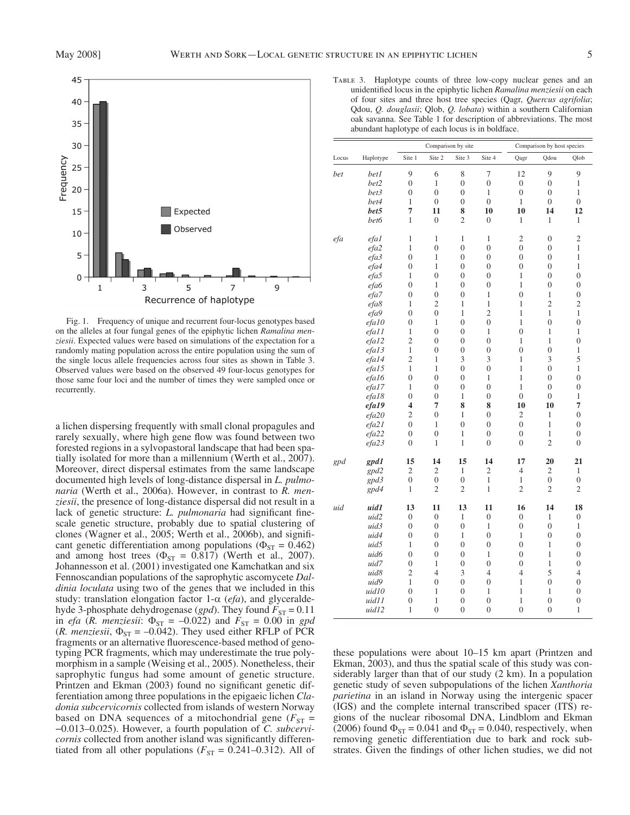

 Fig. 1. Frequency of unique and recurrent four-locus genotypes based on the alleles at four fungal genes of the epiphytic lichen *Ramalina menziesii* . Expected values were based on simulations of the expectation for a randomly mating population across the entire population using the sum of the single locus allele frequencies across four sites as shown in Table 3. Observed values were based on the observed 49 four-locus genotypes for those same four loci and the number of times they were sampled once or recurrently.

a lichen dispersing frequently with small clonal propagules and rarely sexually, where high gene flow was found between two forested regions in a sylvopastoral landscape that had been spatially isolated for more than a millennium (Werth et al., 2007). Moreover, direct dispersal estimates from the same landscape documented high levels of long-distance dispersal in *L. pulmonaria* (Werth et al., 2006a). However, in contrast to *R. menziesii* , the presence of long-distance dispersal did not result in a lack of genetic structure: *L. pulmonaria* had significant finescale genetic structure, probably due to spatial clustering of clones (Wagner et al., 2005; Werth et al., 2006b), and significant genetic differentiation among populations ( $\Phi_{ST} = 0.462$ ) and among host trees ( $\Phi_{ST} = 0.817$ ) (Werth et al., 2007). Johannesson et al. (2001) investigated one Kamchatkan and six Fennoscandian populations of the saprophytic ascomycete *Daldinia loculata* using two of the genes that we included in this study: translation elongation factor  $1-\alpha$  (*efa*), and glyceraldehyde 3-phosphate dehydrogenase (*gpd*). They found  $F_{ST} = 0.11$ in *efa* (*R. menziesii:*  $\Phi_{ST} = -0.022$ ) and  $\dot{F}_{ST} = 0.00$  in *gpd* (*R. menziesii*,  $\Phi_{ST} = -0.042$ ). They used either RFLP of PCR fragments or an alternative fluorescence-based method of genotyping PCR fragments, which may underestimate the true polymorphism in a sample (Weising et al., 2005). Nonetheless, their saprophytic fungus had some amount of genetic structure. Printzen and Ekman (2003) found no significant genetic differentiation among three populations in the epigaeic lichen *Cladonia subcervicornis* collected from islands of western Norway based on DNA sequences of a mitochondrial gene ( $F_{ST}$  = − 0.013 – 0.025). However, a fourth population of *C. subcervicornis* collected from another island was significantly differentiated from all other populations ( $F_{ST} = 0.241 - 0.312$ ). All of

| TABLE 3. Haplotype counts of three low-copy nuclear genes and an                   |
|------------------------------------------------------------------------------------|
| unidentified locus in the epiphytic lichen Ramalina menziesii on each              |
| of four sites and three host tree species (Qagr, Quercus agrifolia;                |
| Odou, <i>O. douglasii</i> ; Olob, <i>O. lobata</i> ) within a southern Californian |
| oak savanna. See Table 1 for description of abbreviations. The most                |
| abundant haplotype of each locus is in boldface.                                   |

|       |           |                  | Comparison by site |                  | Comparison by host species |                  |                  |                  |
|-------|-----------|------------------|--------------------|------------------|----------------------------|------------------|------------------|------------------|
| Locus | Haplotype | Site 1           | Site 2             | Site 3           | Site 4                     | Qagr             | Qdou             | Qlob             |
| bet   | bet1      | 9                | 6                  | 8                | 7                          | 12               | 9                | 9                |
|       | bet2      | $\boldsymbol{0}$ | 1                  | $\overline{0}$   | $\boldsymbol{0}$           | $\boldsymbol{0}$ | $\overline{0}$   | $\mathbf{1}$     |
|       | bet3      | $\boldsymbol{0}$ | $\mathbf{0}$       | $\boldsymbol{0}$ | $\mathbf{1}$               | $\boldsymbol{0}$ | $\boldsymbol{0}$ | $\mathbf{1}$     |
|       | bet4      | $\mathbf{1}$     | $\boldsymbol{0}$   | $\boldsymbol{0}$ | $\boldsymbol{0}$           | 1                | $\boldsymbol{0}$ | $\boldsymbol{0}$ |
|       | bet5      | 7                | 11                 | 8                | 10                         | 10               | 14               | 12               |
|       | bet6      | 1                | $\overline{0}$     | $\overline{c}$   | $\overline{0}$             | $\mathbf{1}$     | 1                | $\mathbf{1}$     |
| efa   | efa1      | 1                | 1                  | 1                | 1                          | 2                | $\boldsymbol{0}$ | $\overline{c}$   |
|       | eta2      | 1                | $\overline{0}$     | $\overline{0}$   | $\overline{0}$             | $\overline{0}$   | $\overline{0}$   | $\mathbf{1}$     |
|       | efa3      | $\overline{0}$   | 1                  | $\overline{0}$   | $\overline{0}$             | $\overline{0}$   | $\mathbf{0}$     | 1                |
|       | efa4      | $\boldsymbol{0}$ | 1                  | $\overline{0}$   | $\overline{0}$             | $\mathbf{0}$     | $\overline{0}$   | 1                |
|       | efa5      | 1                | $\overline{0}$     | $\overline{0}$   | $\overline{0}$             | 1                | $\overline{0}$   | 0                |
|       | efa6      | $\overline{0}$   | 1                  | $\overline{0}$   | $\overline{0}$             | $\mathbf{1}$     | $\overline{0}$   | $\overline{0}$   |
|       | efa7      | $\overline{0}$   | $\overline{0}$     | $\overline{0}$   | 1                          | $\overline{0}$   | 1                | $\overline{0}$   |
|       | efa8      | 1                | $\overline{2}$     | 1                | 1                          | 1                | $\overline{c}$   | 2                |
|       | efa9      | $\overline{0}$   | $\overline{0}$     | $\mathbf{1}$     | $\overline{2}$             | $\mathbf{1}$     | 1                | $\mathbf 1$      |
|       | efa10     | $\overline{0}$   | 1                  | $\boldsymbol{0}$ | $\boldsymbol{0}$           | 1                | $\mathbf{0}$     | $\boldsymbol{0}$ |
|       | efa11     | 1                | $\mathbf{0}$       | $\boldsymbol{0}$ | 1                          | $\boldsymbol{0}$ | 1                | $\mathbf{1}$     |
|       | efa12     | $\overline{c}$   | $\boldsymbol{0}$   | $\mathbf{0}$     | 0                          | 1                | 1                | $\boldsymbol{0}$ |
|       | efa13     | 1                | $\boldsymbol{0}$   | $\boldsymbol{0}$ | $\boldsymbol{0}$           | $\boldsymbol{0}$ | $\mathbf{0}$     | $\mathbf{1}$     |
|       | efa14     | $\overline{c}$   | 1                  | 3                | 3                          | 1                | 3                | 5                |
|       | efa15     | $\mathbf{1}$     | 1                  | $\overline{0}$   | $\overline{0}$             | $\mathbf{1}$     | $\mathbf{0}$     | $\mathbf{1}$     |
|       | efa16     | $\overline{0}$   | $\mathbf{0}$       | $\overline{0}$   | $\mathbf{1}$               | 1                | $\boldsymbol{0}$ | $\boldsymbol{0}$ |
|       | efa17     | 1                | $\mathbf{0}$       | $\overline{0}$   | $\boldsymbol{0}$           | 1                | $\boldsymbol{0}$ | $\boldsymbol{0}$ |
|       | eta18     | $\mathbf{0}$     | $\mathbf{0}$       | $\mathbf{1}$     | $\boldsymbol{0}$           | $\boldsymbol{0}$ | $\boldsymbol{0}$ | $\mathbf{1}$     |
|       | efa19     | 4                | 7                  | 8                | 8                          | 10               | 10               | 7                |
|       | efa20     | $\overline{c}$   | $\mathbf{0}$       | 1                | $\boldsymbol{0}$           | $\mathfrak{2}$   | 1                | $\boldsymbol{0}$ |
|       | eta21     | $\boldsymbol{0}$ | 1                  | $\overline{0}$   | $\boldsymbol{0}$           | $\boldsymbol{0}$ | 1                | 0                |
|       | efa22     | $\overline{0}$   | $\mathbf{0}$       | $\mathbf{1}$     | $\overline{0}$             | $\boldsymbol{0}$ | $\mathbf{1}$     | $\overline{0}$   |
|       | efa23     | $\overline{0}$   | 1                  | $\mathbf{1}$     | $\overline{0}$             | $\overline{0}$   | $\overline{c}$   | $\overline{0}$   |
| gpd   | gpd1      | 15               | 14                 | 15               | 14                         | 17               | 20               | 21               |
|       | gpd2      | 2                | $\overline{c}$     | $\mathbf{1}$     | $\overline{c}$             | $\overline{4}$   | $\mathfrak{2}$   | 1                |
|       | gpd3      | $\mathbf{0}$     | $\boldsymbol{0}$   | $\boldsymbol{0}$ | $\mathbf{1}$               | 1                | $\boldsymbol{0}$ | $\boldsymbol{0}$ |
|       | gpd4      | 1                | $\overline{c}$     | $\overline{c}$   | $\mathbf{1}$               | $\overline{c}$   | $\overline{c}$   | 2                |
| uid   | uid1      | 13               | 11                 | 13               | 11                         | 16               | 14               | 18               |
|       | uid2      | $\theta$         | $\overline{0}$     | 1                | 0                          | $\mathbf{0}$     | 1                | 0                |
|       | uid3      | $\theta$         | $\overline{0}$     | $\overline{0}$   | 1                          | $\boldsymbol{0}$ | $\overline{0}$   | 1                |
|       | uid4      | $\theta$         | $\overline{0}$     | 1                | $\overline{0}$             | 1                | $\mathbf{0}$     | 0                |
|       | uid5      | 1                | $\overline{0}$     | $\overline{0}$   | $\overline{0}$             | $\overline{0}$   | 1                | $\overline{0}$   |
|       | uid6      | $\overline{0}$   | $\overline{0}$     | $\overline{0}$   | 1                          | $\mathbf{0}$     | 1                | $\overline{0}$   |
|       | uid7      | $\boldsymbol{0}$ | 1                  | $\overline{0}$   | $\overline{0}$             | $\mathbf{0}$     | 1                | $\overline{0}$   |
|       | uid8      | $\overline{2}$   | 4                  | 3                | $\overline{4}$             | $\overline{4}$   | 5                | $\overline{4}$   |
|       | uid9      | $\mathbf{1}$     | $\overline{0}$     | $\overline{0}$   | $\overline{0}$             | $\mathbf{1}$     | $\overline{0}$   | $\overline{0}$   |
|       | uid10     | $\boldsymbol{0}$ | 1                  | $\mathbf{0}$     | 1                          | 1                | 1                | 0                |
|       | uid11     | 0                | 1                  | 0                | $\boldsymbol{0}$           | 1                | $\mathbf{0}$     | 0                |
|       | uid12     | 1                | $\mathbf{0}$       | $\boldsymbol{0}$ | $\overline{0}$             | $\boldsymbol{0}$ | $\mathbf{0}$     | $\mathbf{1}$     |

these populations were about  $10-15$  km apart (Printzen and Ekman, 2003), and thus the spatial scale of this study was considerably larger than that of our study (2 km). In a population genetic study of seven subpopulations of the lichen *Xanthoria parietina* in an island in Norway using the intergenic spacer (IGS) and the complete internal transcribed spacer (ITS) regions of the nuclear ribosomal DNA, Lindblom and Ekman (2006) found  $\Phi_{ST} = 0.041$  and  $\Phi_{ST} = 0.040$ , respectively, when removing genetic differentiation due to bark and rock substrates. Given the findings of other lichen studies, we did not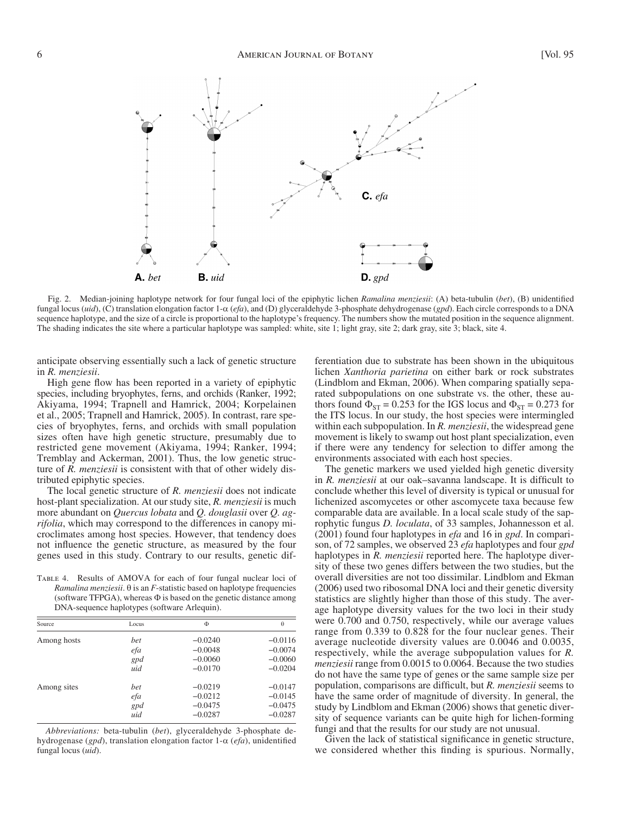

Fig. 2. Median-joining haplotype network for four fungal loci of the epiphytic lichen *Ramalina menziesii*: (A) beta-tubulin (*bet*), (B) unidentified fungal locus (*uid*), (C) translation elongation factor 1-α (*efa*), and (D) glyceraldehyde 3-phosphate dehydrogenase (*gpd*). Each circle corresponds to a DNA sequence haplotype, and the size of a circle is proportional to the haplotype's frequency. The numbers show the mutated position in the sequence alignment. The shading indicates the site where a particular haplotype was sampled: white, site 1; light gray, site 2; dark gray, site 3; black, site 4.

anticipate observing essentially such a lack of genetic structure in *R. menziesii* .

High gene flow has been reported in a variety of epiphytic species, including bryophytes, ferns, and orchids (Ranker, 1992; Akiyama, 1994; Trapnell and Hamrick, 2004; Korpelainen et al., 2005 ; Trapnell and Hamrick, 2005). In contrast, rare species of bryophytes, ferns, and orchids with small population sizes often have high genetic structure, presumably due to restricted gene movement (Akiyama, 1994; Ranker, 1994; Tremblay and Ackerman, 2001). Thus, the low genetic structure of *R. menziesii* is consistent with that of other widely distributed epiphytic species.

 The local genetic structure of *R. menziesii* does not indicate host-plant specialization. At our study site, *R. menziesii* is much more abundant on *Quercus lobata* and *Q. douglasii* over *Q. agrifolia*, which may correspond to the differences in canopy microclimates among host species. However, that tendency does not influence the genetic structure, as measured by the four genes used in this study. Contrary to our results, genetic dif-

TABLE 4. Results of AMOVA for each of four fungal nuclear loci of *.*  $\theta$  *is an*  $*F*$ *-statistic based on haplotype frequencies* (software TFPGA), whereas  $\Phi$  is based on the genetic distance among DNA-sequence haplotypes (software Arlequin).

| Locus | Φ         | $\theta$  |
|-------|-----------|-----------|
| bet   | $-0.0240$ | $-0.0116$ |
| efa   | $-0.0048$ | $-0.0074$ |
| gpd   | $-0.0060$ | $-0.0060$ |
| uid   | $-0.0170$ | $-0.0204$ |
| bet   | $-0.0219$ | $-0.0147$ |
| efa   | $-0.0212$ | $-0.0145$ |
| gpd   | $-0.0475$ | $-0.0475$ |
| uid   | $-0.0287$ | $-0.0287$ |
|       |           |           |

*Abbreviations:* beta-tubulin ( *bet* ), glyceraldehyde 3-phosphate dehydrogenase ( $gpd$ ), translation elongation factor 1- $\alpha$  ( $efa$ ), unidentified fungal locus (*uid*).

ferentiation due to substrate has been shown in the ubiquitous lichen *Xanthoria parietina* on either bark or rock substrates (Lindblom and Ekman, 2006). When comparing spatially separated subpopulations on one substrate vs. the other, these authors found  $\Phi_{ST} = 0.253$  for the IGS locus and  $\Phi_{ST} = 0.273$  for the ITS locus. In our study, the host species were intermingled within each subpopulation. In *R. menziesii*, the widespread gene movement is likely to swamp out host plant specialization, even if there were any tendency for selection to differ among the environments associated with each host species.

 The genetic markers we used yielded high genetic diversity in *R. menziesii* at our oak–savanna landscape. It is difficult to conclude whether this level of diversity is typical or unusual for lichenized ascomycetes or other ascomycete taxa because few comparable data are available. In a local scale study of the saprophytic fungus *D. loculata* , of 33 samples, Johannesson et al. (2001) found four haplotypes in *efa* and 16 in *gpd* . In comparison, of 72 samples, we observed 23 *efa* haplotypes and four *gpd* haplotypes in *R. menziesii* reported here. The haplotype diversity of these two genes differs between the two studies, but the overall diversities are not too dissimilar. Lindblom and Ekman (2006) used two ribosomal DNA loci and their genetic diversity statistics are slightly higher than those of this study. The average haplotype diversity values for the two loci in their study were 0.700 and 0.750, respectively, while our average values range from 0.339 to 0.828 for the four nuclear genes. Their average nucleotide diversity values are 0.0046 and 0.0035, respectively, while the average subpopulation values for *R. menziesii* range from 0.0015 to 0.0064. Because the two studies do not have the same type of genes or the same sample size per population, comparisons are difficult, but *R. menziesii* seems to have the same order of magnitude of diversity. In general, the study by Lindblom and Ekman (2006) shows that genetic diversity of sequence variants can be quite high for lichen-forming fungi and that the results for our study are not unusual.

Given the lack of statistical significance in genetic structure, we considered whether this finding is spurious. Normally,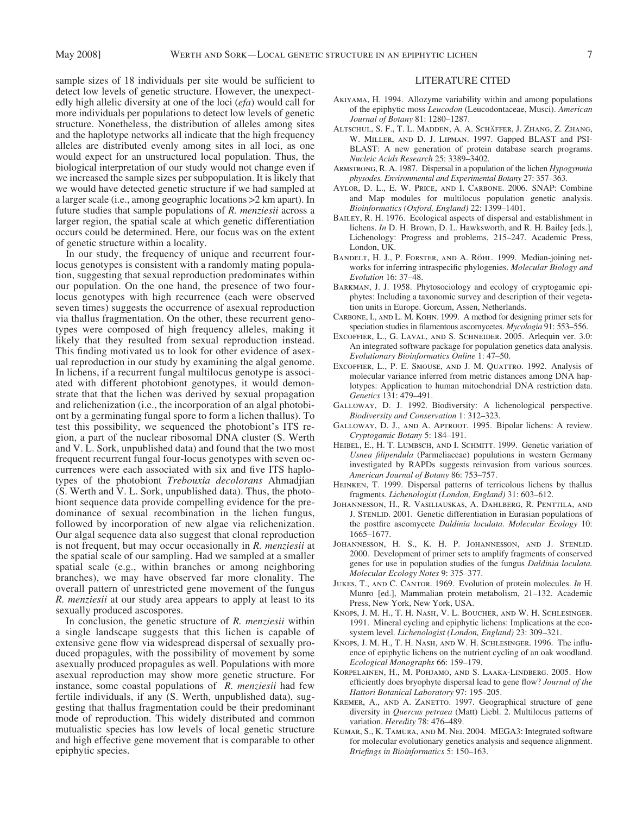sample sizes of 18 individuals per site would be sufficient to detect low levels of genetic structure. However, the unexpectedly high allelic diversity at one of the loci (*efa*) would call for more individuals per populations to detect low levels of genetic structure. Nonetheless, the distribution of alleles among sites and the haplotype networks all indicate that the high frequency alleles are distributed evenly among sites in all loci, as one would expect for an unstructured local population. Thus, the biological interpretation of our study would not change even if we increased the sample sizes per subpopulation. It is likely that we would have detected genetic structure if we had sampled at a larger scale (i.e., among geographic locations  $>2$  km apart). In future studies that sample populations of *R. menziesii* across a larger region, the spatial scale at which genetic differentiation occurs could be determined. Here, our focus was on the extent of genetic structure within a locality.

 In our study, the frequency of unique and recurrent fourlocus genotypes is consistent with a randomly mating population, suggesting that sexual reproduction predominates within our population. On the one hand, the presence of two fourlocus genotypes with high recurrence (each were observed seven times) suggests the occurrence of asexual reproduction via thallus fragmentation. On the other, these recurrent genotypes were composed of high frequency alleles, making it likely that they resulted from sexual reproduction instead. This finding motivated us to look for other evidence of asexual reproduction in our study by examining the algal genome. In lichens, if a recurrent fungal multilocus genotype is associated with different photobiont genotypes, it would demonstrate that that the lichen was derived by sexual propagation and relichenization (i.e., the incorporation of an algal photobiont by a germinating fungal spore to form a lichen thallus). To test this possibility, we sequenced the photobiont's ITS region, a part of the nuclear ribosomal DNA cluster (S. Werth and V. L. Sork, unpublished data) and found that the two most frequent recurrent fungal four-locus genotypes with seven occurrences were each associated with six and five ITS haplotypes of the photobiont *Trebouxia decolorans* Ahmadjian (S. Werth and V. L. Sork, unpublished data). Thus, the photobiont sequence data provide compelling evidence for the predominance of sexual recombination in the lichen fungus, followed by incorporation of new algae via relichenization. Our algal sequence data also suggest that clonal reproduction is not frequent, but may occur occasionally in *R. menziesii* at the spatial scale of our sampling. Had we sampled at a smaller spatial scale (e.g., within branches or among neighboring branches), we may have observed far more clonality. The overall pattern of unrestricted gene movement of the fungus *R. menziesii* at our study area appears to apply at least to its sexually produced ascospores.

 In conclusion, the genetic structure of *R. menziesii* within a single landscape suggests that this lichen is capable of extensive gene flow via widespread dispersal of sexually produced propagules, with the possibility of movement by some asexually produced propagules as well. Populations with more asexual reproduction may show more genetic structure. For instance, some coastal populations of *R. menziesii* had few fertile individuals, if any (S. Werth, unpublished data), suggesting that thallus fragmentation could be their predominant mode of reproduction. This widely distributed and common mutualistic species has low levels of local genetic structure and high effective gene movement that is comparable to other epiphytic species.

#### LITERATURE CITED

- AKIYAMA, H. 1994. Allozyme variability within and among populations of the epiphytic moss *Leucodon* (Leucodontaceae, Musci). *American*  Journal of Botany 81: 1280-1287.
- ALTSCHUL, S. F., T. L. MADDEN, A. A. SCHÄFFER, J. ZHANG, Z. ZHANG, W. MILLER, AND D. J. LIPMAN. 1997. Gapped BLAST and PSI-BLAST: A new generation of protein database search programs. *Nucleic Acids Research* 25 : 3389 – 3402 .
- Armstrong , R . A . 1987 . Dispersal in a population of the lichen *Hypogymnia physodes. Environmental and Experimental Botany* 27 : 357 – 363 .
- AYLOR, D. L., E. W. PRICE, AND I. CARBONE. 2006. SNAP: Combine and Map modules for multilocus population genetic analysis. *Bioinformatics (Oxford, England)* 22: 1399-1401.
- BAILEY, R. H. 1976. Ecological aspects of dispersal and establishment in lichens. *In* D. H. Brown, D. L. Hawksworth, and R. H. Bailey [eds.], Lichenology: Progress and problems, 215-247. Academic Press, London, UK.
- BANDELT, H. J., P. FORSTER, AND A. RÖHL. 1999. Median-joining networks for inferring intraspecific phylogenies. *Molecular Biology and Evolution* 16: 37-48.
- BARKMAN, J. J. 1958. Phytosociology and ecology of cryptogamic epiphytes: Including a taxonomic survey and description of their vegetation units in Europe. Gorcum, Assen, Netherlands.
- CARBONE, I., AND L. M. KOHN. 1999. A method for designing primer sets for speciation studies in filamentous ascomycetes. *Mycologia* 91: 553-556.
- EXCOFFIER, L., G. LAVAL, AND S. SCHNEIDER. 2005. Arlequin ver. 3.0: An integrated software package for population genetics data analysis. *Evolutionary Bioinformatics Online* 1: 47-50.
- EXCOFFIER, L., P. E. SMOUSE, AND J. M. QUATTRO. 1992. Analysis of molecular variance inferred from metric distances among DNA haplotypes: Application to human mitochondrial DNA restriction data. *Genetics* 131: 479-491.
- GALLOWAY, D. J. 1992. Biodiversity: A lichenological perspective. Biodiversity and Conservation 1: 312-323.
- GALLOWAY, D. J., AND A. APTROOT. 1995. Bipolar lichens: A review. *Cryptogamic Botany* 5 : 184 – 191 .
- HEIBEL, E., H. T. LUMBSCH, AND I. SCHMITT. 1999. Genetic variation of *Usnea filipendula* (Parmeliaceae) populations in western Germany investigated by RAPDs suggests reinvasion from various sources. American Journal of Botany 86: 753-757.
- HEINKEN, T. 1999. Dispersal patterns of terricolous lichens by thallus fragments. *Lichenologist (London, England)* 31: 603–612.
- JOHANNESSON, H., R. VASILIAUSKAS, A. DAHLBERG, R. PENTTILA, AND J. STENLID. 2001. Genetic differentiation in Eurasian populations of the postfire ascomycete *Daldinia loculata. Molecular Ecology* 10: 1665-1677.
- JOHANNESSON, H. S., K. H. P. JOHANNESSON, AND J. STENLID. 2000 . Development of primer sets to amplify fragments of conserved genes for use in population studies of the fungus *Daldinia loculata. Molecular Ecology Notes* 9: 375-377.
- JUKES, T., AND C. CANTOR. 1969. Evolution of protein molecules. In H. Munro [ed.], Mammalian protein metabolism, 21-132. Academic Press, New York, New York, USA.
- KNOPS, J. M. H., T. H. NASH, V. L. BOUCHER, AND W. H. SCHLESINGER. 1991. Mineral cycling and epiphytic lichens: Implications at the ecosystem level. *Lichenologist (London, England)* 23: 309-321.
- KNOPS, J. M. H., T. H. NASH, AND W. H. SCHLESINGER. 1996. The influence of epiphytic lichens on the nutrient cycling of an oak woodland. Ecological Monographs 66: 159-179.
- KORPELAINEN, H., M. POHJAMO, AND S. LAAKA-LINDBERG. 2005. How efficiently does bryophyte dispersal lead to gene flow? *Journal of the* Hattori Botanical Laboratory 97: 195-205.
- KREMER, A., AND A. ZANETTO. 1997. Geographical structure of gene diversity in *Quercus petraea* (Matt) Liebl. 2. Multilocus patterns of variation. *Heredity* 78: 476-489.
- KUMAR, S., K. TAMURA, AND M. NEI. 2004. MEGA3: Integrated software for molecular evolutionary genetics analysis and sequence alignment. *Briefings in Bioinformatics* 5: 150-163.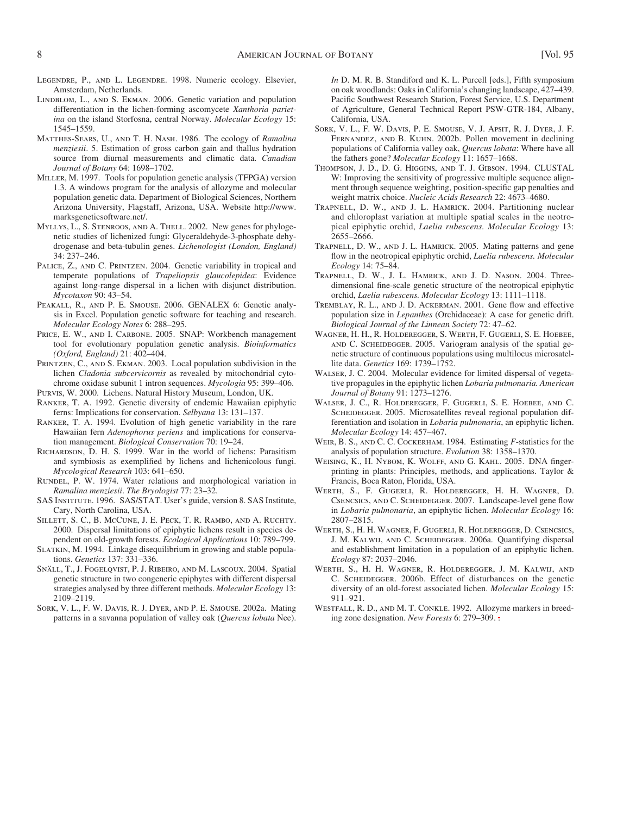- LEGENDRE, P., AND L. LEGENDRE. 1998. Numeric ecology. Elsevier, Amsterdam, Netherlands.
- LINDBLOM, L., AND S. EKMAN. 2006. Genetic variation and population differentiation in the lichen-forming ascomycete *Xanthoria parietina* on the island Storfosna, central Norway. *Molecular Ecology* 15: 1545 – 1559.
- MATTHES-SEARS, U., AND T. H. NASH. 1986. The ecology of *Ramalina menziesii* . 5. Estimation of gross carbon gain and thallus hydration source from diurnal measurements and climatic data. *Canadian*  Journal of Botany 64: 1698-1702.
- MILLER, M. 1997. Tools for population genetic analysis (TFPGA) version 1.3. A windows program for the analysis of allozyme and molecular population genetic data. Department of Biological Sciences, Northern Arizona University, Flagstaff, Arizona, USA. Website http://www. marksgeneticsoftware.net/ .
- MYLLYS, L., S. STENROOS, AND A. THELL. 2002. New genes for phylogenetic studies of lichenized fungi: Glyceraldehyde-3-phosphate dehydrogenase and beta-tubulin genes. *Lichenologist (London, England)* 34: 237-246.
- PALICE, Z., AND C. PRINTZEN. 2004. Genetic variability in tropical and temperate populations of *Trapeliopsis glaucolepidea*: Evidence against long-range dispersal in a lichen with disjunct distribution. *Mycotaxon* 90: 43-54.
- PEAKALL, R., AND P. E. SMOUSE. 2006. GENALEX 6: Genetic analysis in Excel. Population genetic software for teaching and research. *Molecular Ecology Notes 6: 288-295.*
- PRICE, E. W., AND I. CARBONE. 2005. SNAP: Workbench management tool for evolutionary population genetic analysis. *Bioinformatics (Oxford, England)* 21: 402-404.
- PRINTZEN, C., AND S. EKMAN. 2003. Local population subdivision in the lichen *Cladonia subcervicornis* as revealed by mitochondrial cytochrome oxidase subunit 1 intron sequences. *Mycologia* 95: 399–406.
- PURVIS, W. 2000. Lichens. Natural History Museum, London, UK.
- RANKER, T. A. 1992. Genetic diversity of endemic Hawaiian epiphytic ferns: Implications for conservation. *Selbyana* 13: 131-137.
- RANKER, T. A. 1994. Evolution of high genetic variability in the rare Hawaiian fern *Adenophorus periens* and implications for conservation management. *Biological Conservation* 70: 19-24.
- RICHARDSON, D. H. S. 1999. War in the world of lichens: Parasitism and symbiosis as exemplified by lichens and lichenicolous fungi. *Mycological Research* 103: 641-650.
- RUNDEL, P. W. 1974. Water relations and morphological variation in *Ramalina menziesii* . *The Bryologist* 77 : 23 – 32 .
- SAS INSTITUTE. 1996. SAS/STAT. User's guide, version 8. SAS Institute, Cary, North Carolina, USA.
- SILLETT, S. C., B. MCCUNE, J. E. PECK, T. R. RAMBO, AND A. RUCHTY. 2000 . Dispersal limitations of epiphytic lichens result in species dependent on old-growth forests. *Ecological Applications* 10: 789-799.
- SLATKIN, M. 1994. Linkage disequilibrium in growing and stable populations. *Genetics* 137: 331-336.
- SNÄLL, T., J. FOGELQVIST, P. J. RIBEIRO, AND M. LASCOUX. 2004. Spatial genetic structure in two congeneric epiphytes with different dispersal strategies analysed by three different methods. *Molecular Ecology* 13 : 2109-2119.
- SORK, V. L., F. W. DAVIS, R. J. DYER, AND P. E. SMOUSE. 2002a. Mating patterns in a savanna population of valley oak (*Quercus lobata* Nee).

*In* D. M. R. B. Standiford and K. L. Purcell [eds.], Fifth symposium on oak woodlands: Oaks in California's changing landscape, 427–439. Pacific Southwest Research Station, Forest Service, U.S. Department of Agriculture, General Technical Report PSW-GTR-184, Albany, California, USA.

- SORK, V. L., F. W. DAVIS, P. E. SMOUSE, V. J. APSIT, R. J. DYER, J. F. FERNANDEZ, AND B. KUHN. 2002b. Pollen movement in declining populations of California valley oak, *Quercus lobata*: Where have all the fathers gone? Molecular Ecology 11: 1657-1668.
- THOMPSON, J. D., D. G. HIGGINS, AND T. J. GIBSON. 1994. CLUSTAL W: Improving the sensitivity of progressive multiple sequence alignment through sequence weighting, position-specific gap penalties and weight matrix choice. *Nucleic Acids Research* 22: 4673-4680.
- TRAPNELL, D. W., AND J. L. HAMRICK. 2004. Partitioning nuclear and chloroplast variation at multiple spatial scales in the neotropical epiphytic orchid, *Laelia rubescens. Molecular Ecology* 13 : 2655-2666.
- TRAPNELL, D. W., AND J. L. HAMRICK. 2005. Mating patterns and gene flow in the neotropical epiphytic orchid, *Laelia rubescens. Molecular* Ecology 14: 75-84.
- TRAPNELL, D. W., J. L. HAMRICK, AND J. D. NASON. 2004. Threedimensional fine-scale genetic structure of the neotropical epiphytic orchid, *Laelia rubescens. Molecular Ecology* 13 : 1111 – 1118 .
- TREMBLAY, R. L., AND J. D. ACKERMAN. 2001. Gene flow and effective population size in *Lepanthes* (Orchidaceae): A case for genetic drift. Biological Journal of the Linnean Society 72: 47-62.
- WAGNER, H. H., R. HOLDEREGGER, S. WERTH, F. GUGERLI, S. E. HOEBEE, and C. SCHEIDEGGER. 2005. Variogram analysis of the spatial genetic structure of continuous populations using multilocus microsatellite data. *Genetics* 169: 1739-1752.
- WALSER, J. C. 2004. Molecular evidence for limited dispersal of vegetative propagules in the epiphytic lichen *Lobaria pulmonaria. American Journal of Botany* 91: 1273-1276.
- WALSER, J. C., R. HOLDEREGGER, F. GUGERLI, S. E. HOEBEE, AND C. SCHEIDEGGER. 2005. Microsatellites reveal regional population differentiation and isolation in *Lobaria pulmonaria* , an epiphytic lichen. *Molecular Ecology* 14: 457-467.
- WEIR, B. S., AND C. C. COCKERHAM. 1984. Estimating *F*-statistics for the analysis of population structure. *Evolution* 38: 1358-1370.
- WEISING, K., H. NYBOM, K. WOLFF, AND G. KAHL. 2005. DNA fingerprinting in plants: Principles, methods, and applications. Taylor & Francis, Boca Raton, Florida, USA.
- WERTH, S., F. GUGERLI, R. HOLDEREGGER, H. H. WAGNER, D. CSENCSICS, AND C. SCHEIDEGGER. 2007. Landscape-level gene flow in *Lobaria pulmonaria* , an epiphytic lichen. *Molecular Ecology* 16 : 2807-2815.
- WERTH, S., H. H. WAGNER, F. GUGERLI, R. HOLDEREGGER, D. CSENCSICS, J. M. KALWIJ, AND C. SCHEIDEGGER. 2006a. Quantifying dispersal and establishment limitation in a population of an epiphytic lichen. Ecology 87: 2037-2046.
- WERTH, S., H. H. WAGNER, R. HOLDEREGGER, J. M. KALWIJ, AND C. SCHEIDEGGER. 2006b. Effect of disturbances on the genetic diversity of an old-forest associated lichen. *Molecular Ecology* 15 :  $911 - 921$ .
- WESTFALL, R. D., AND M. T. CONKLE. 1992. Allozyme markers in breeding zone designation. *New Forests* 6: 279–309.  $\pm$